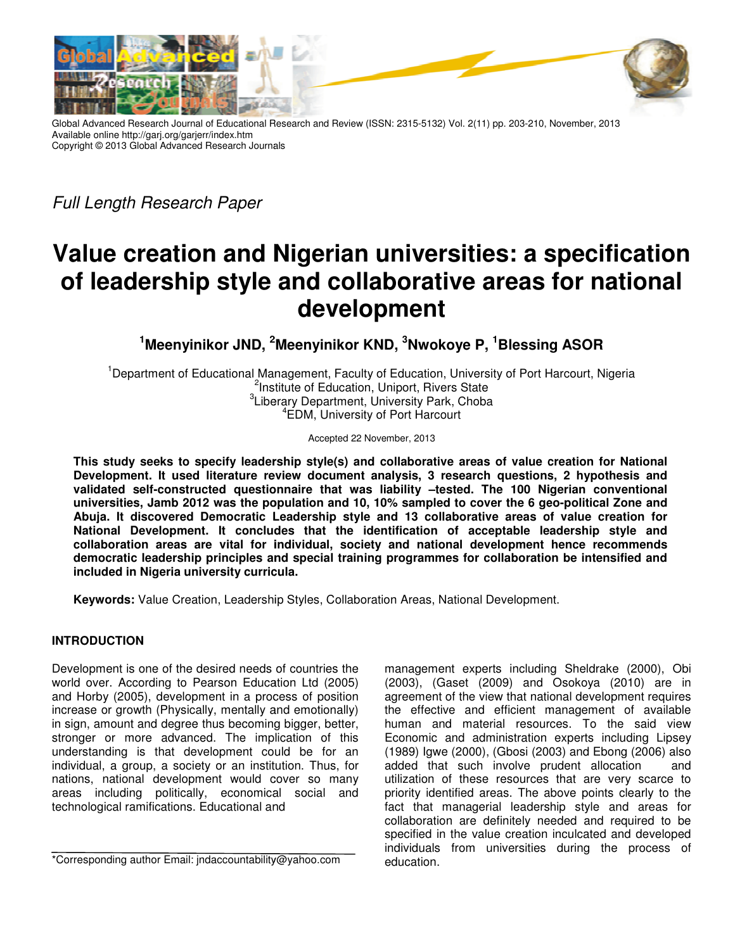

Global Advanced Research Journal of Educational Research and Review (ISSN: 2315-5132) Vol. 2(11) pp. 203-210, November, 2013 Available online http://garj.org/garjerr/index.htm Copyright © 2013 Global Advanced Research Journals Research Journals

*Full Length Research Paper* 

# **Value creation and Nigerian universities: a specification of leadership style and collaborative areas for national development**

**<sup>1</sup>Meenyinikor JND, <sup>2</sup> Meenyinikor KND, <sup>3</sup>Nwokoye P, <sup>1</sup>Blessing ASOR**

<sup>1</sup>Department of Educational Management, Faculty of Education, University of Port Harcourt, Nigeria <sup>2</sup>Institute of Education, Uniport, Rivers State <sup>3</sup>Liberary Department, University Park, Choba 4 EDM, University of Port Harcourt

Accepted 22 November, 2013

This study seeks to specify leadership style(s) and collaborative areas of value creation for National **Development. It used literature review document analysis, 3 research questions, 2 hypothesis and**  Development. It used literature review document analysis, 3 research questions, 2 hypothesis and<br>validated self-constructed questionnaire that was liability –tested. The 100 Nigerian conventional **universities, Jamb 2012 was the population and 10, 10% sampled to cover the 6 geo geo-political Zone and**  universities, Jamb 2012 was the population and 10, 10% sampled to cover the 6 geo-political Zone and<br>Abuja. It discovered Democratic Leadership style and 13 collaborative areas of value creation for **National Development. It concludes that the identification of acceptable leadership style and collaboration areas are vital for individual, society and national development hence recommends democratic leadership principles and included in Nigeria university curricula. university curricula.** Development. It concludes that the identification of acceptable leadership style and<br>ion areas are vital for individual, society and national development hence recommends<br>c leadership principles and special training progra ive areas of<br>ceptable lead<br>velopment he<br>collaboration

Keywords: Value Creation, Leadership Styles, Collaboration Areas, National Development.

# **INTRODUCTION**

Development is one of the desired needs of countries the world over. According to Pearson Education Ltd (2005) and Horby (2005), development in a process of position increase or growth (Physically, mentally and emotionally) in sign, amount and degree thus becoming bigger, better, stronger or more advanced. The implication of this understanding is that development could be for an individual, a group, a society or an institution. Thus, for nations, national development would cover so many areas including politically, economical social and technological ramifications. Educational and lopment is one of the desired needs of countries the<br>I over. According to Pearson Education Ltd (2005)<br>Horby (2005), development in a process of position<br>ase or growth (Physically, mentally and emotionally)<br>Jn, amount and

on Areas, National Development.<br>management experts including Sheldrake (2000), Obi (2003), (Gaset (2009) and Osokoya (2010) are in agreement of the view that national development requires the effective and efficient management of available human and material resources. To the said view Economic and administration experts including Lipsey (1989) Igwe (2000), (Gbosi (2003) 2003) and Ebong (2006) also added that such involve prudent allocation that and utilization of these resources that are very scarce to utilization of these resources that are very scarce to<br>priority identified areas. The above points clearly to the fact that managerial leadership style and areas for collaboration are definitely needed and required to be specified in the value creation inculcated and developed individuals from universities during the education. agreement of the view that national development requires<br>the effective and efficient management of available<br>human and material resources. To the said view<br>Economic and administration experts including Lipsey fact that managerial leadership style and areas for collaboration are definitely needed and required to be specified in the value creation inculcated and developed individuals from universities during the process of

<sup>\*</sup>Corresponding author Email: jndaccountability@yahoo.com Corresponding author Email: jndaccountability@yahoo.com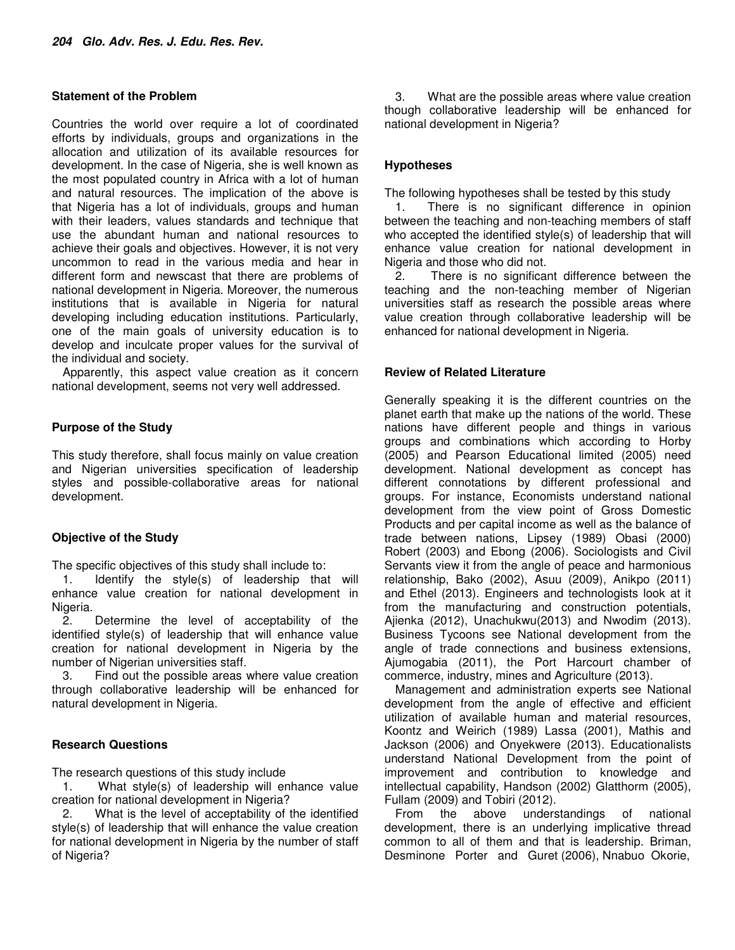#### **Statement of the Problem**

Countries the world over require a lot of coordinated efforts by individuals, groups and organizations in the allocation and utilization of its available resources for development. In the case of Nigeria, she is well known as the most populated country in Africa with a lot of human and natural resources. The implication of the above is that Nigeria has a lot of individuals, groups and human with their leaders, values standards and technique that use the abundant human and national resources to achieve their goals and objectives. However, it is not very uncommon to read in the various media and hear in different form and newscast that there are problems of national development in Nigeria. Moreover, the numerous institutions that is available in Nigeria for natural developing including education institutions. Particularly, one of the main goals of university education is to develop and inculcate proper values for the survival of the individual and society.

Apparently, this aspect value creation as it concern national development, seems not very well addressed.

# **Purpose of the Study**

This study therefore, shall focus mainly on value creation and Nigerian universities specification of leadership styles and possible-collaborative areas for national development.

# **Objective of the Study**

The specific objectives of this study shall include to:

1. Identify the style(s) of leadership that will enhance value creation for national development in Nigeria.

2. Determine the level of acceptability of the identified style(s) of leadership that will enhance value creation for national development in Nigeria by the number of Nigerian universities staff.

3. Find out the possible areas where value creation through collaborative leadership will be enhanced for natural development in Nigeria.

# **Research Questions**

The research questions of this study include

1. What style(s) of leadership will enhance value creation for national development in Nigeria?

2. What is the level of acceptability of the identified style(s) of leadership that will enhance the value creation for national development in Nigeria by the number of staff of Nigeria?

3. What are the possible areas where value creation though collaborative leadership will be enhanced for national development in Nigeria?

# **Hypotheses**

The following hypotheses shall be tested by this study

1. There is no significant difference in opinion between the teaching and non-teaching members of staff who accepted the identified style(s) of leadership that will enhance value creation for national development in Nigeria and those who did not.

2. There is no significant difference between the teaching and the non-teaching member of Nigerian universities staff as research the possible areas where value creation through collaborative leadership will be enhanced for national development in Nigeria.

#### **Review of Related Literature**

Generally speaking it is the different countries on the planet earth that make up the nations of the world. These nations have different people and things in various groups and combinations which according to Horby (2005) and Pearson Educational limited (2005) need development. National development as concept has different connotations by different professional and groups. For instance, Economists understand national development from the view point of Gross Domestic Products and per capital income as well as the balance of trade between nations, Lipsey (1989) Obasi (2000) Robert (2003) and Ebong (2006). Sociologists and Civil Servants view it from the angle of peace and harmonious relationship, Bako (2002), Asuu (2009), Anikpo (2011) and Ethel (2013). Engineers and technologists look at it from the manufacturing and construction potentials, Ajienka (2012), Unachukwu(2013) and Nwodim (2013). Business Tycoons see National development from the angle of trade connections and business extensions, Ajumogabia (2011), the Port Harcourt chamber of commerce, industry, mines and Agriculture (2013).

Management and administration experts see National development from the angle of effective and efficient utilization of available human and material resources, Koontz and Weirich (1989) Lassa (2001), Mathis and Jackson (2006) and Onyekwere (2013). Educationalists understand National Development from the point of improvement and contribution to knowledge and intellectual capability, Handson (2002) Glatthorm (2005), Fullam (2009) and Tobiri (2012).

From the above understandings of national development, there is an underlying implicative thread common to all of them and that is leadership. Briman, Desminone Porter and Guret (2006), Nnabuo Okorie,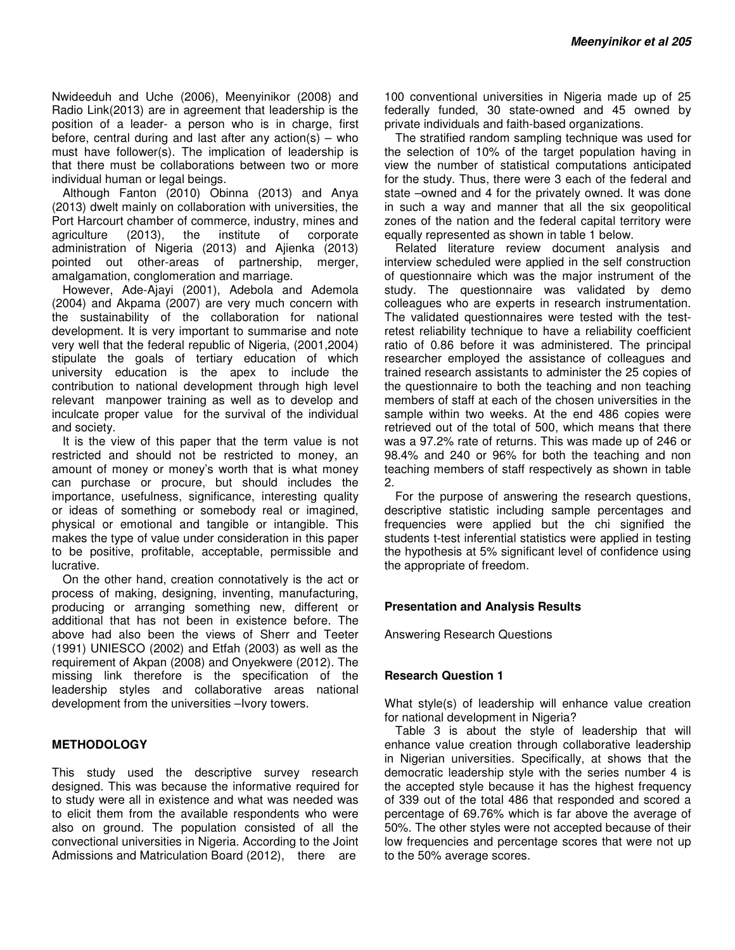Nwideeduh and Uche (2006), Meenyinikor (2008) and Radio Link(2013) are in agreement that leadership is the position of a leader- a person who is in charge, first before, central during and last after any action(s) – who must have follower(s). The implication of leadership is that there must be collaborations between two or more individual human or legal beings.

Although Fanton (2010) Obinna (2013) and Anya (2013) dwelt mainly on collaboration with universities, the Port Harcourt chamber of commerce, industry, mines and agriculture (2013), the institute of corporate administration of Nigeria (2013) and Ajienka (2013) pointed out other-areas of partnership, merger, amalgamation, conglomeration and marriage.

However, Ade-Ajayi (2001), Adebola and Ademola (2004) and Akpama (2007) are very much concern with the sustainability of the collaboration for national development. It is very important to summarise and note very well that the federal republic of Nigeria, (2001,2004) stipulate the goals of tertiary education of which university education is the apex to include the contribution to national development through high level relevant manpower training as well as to develop and inculcate proper value for the survival of the individual and society.

It is the view of this paper that the term value is not restricted and should not be restricted to money, an amount of money or money's worth that is what money can purchase or procure, but should includes the importance, usefulness, significance, interesting quality or ideas of something or somebody real or imagined, physical or emotional and tangible or intangible. This makes the type of value under consideration in this paper to be positive, profitable, acceptable, permissible and lucrative.

On the other hand, creation connotatively is the act or process of making, designing, inventing, manufacturing, producing or arranging something new, different or additional that has not been in existence before. The above had also been the views of Sherr and Teeter (1991) UNIESCO (2002) and Etfah (2003) as well as the requirement of Akpan (2008) and Onyekwere (2012). The missing link therefore is the specification of the leadership styles and collaborative areas national development from the universities –Ivory towers.

# **METHODOLOGY**

This study used the descriptive survey research designed. This was because the informative required for to study were all in existence and what was needed was to elicit them from the available respondents who were also on ground. The population consisted of all the convectional universities in Nigeria. According to the Joint Admissions and Matriculation Board (2012), there are

100 conventional universities in Nigeria made up of 25 federally funded, 30 state-owned and 45 owned by private individuals and faith-based organizations.

The stratified random sampling technique was used for the selection of 10% of the target population having in view the number of statistical computations anticipated for the study. Thus, there were 3 each of the federal and state –owned and 4 for the privately owned. It was done in such a way and manner that all the six geopolitical zones of the nation and the federal capital territory were equally represented as shown in table 1 below.

Related literature review document analysis and interview scheduled were applied in the self construction of questionnaire which was the major instrument of the study. The questionnaire was validated by demo colleagues who are experts in research instrumentation. The validated questionnaires were tested with the testretest reliability technique to have a reliability coefficient ratio of 0.86 before it was administered. The principal researcher employed the assistance of colleagues and trained research assistants to administer the 25 copies of the questionnaire to both the teaching and non teaching members of staff at each of the chosen universities in the sample within two weeks. At the end 486 copies were retrieved out of the total of 500, which means that there was a 97.2% rate of returns. This was made up of 246 or 98.4% and 240 or 96% for both the teaching and non teaching members of staff respectively as shown in table 2.

For the purpose of answering the research questions, descriptive statistic including sample percentages and frequencies were applied but the chi signified the students t-test inferential statistics were applied in testing the hypothesis at 5% significant level of confidence using the appropriate of freedom.

# **Presentation and Analysis Results**

Answering Research Questions

# **Research Question 1**

What style(s) of leadership will enhance value creation for national development in Nigeria?

Table 3 is about the style of leadership that will enhance value creation through collaborative leadership in Nigerian universities. Specifically, at shows that the democratic leadership style with the series number 4 is the accepted style because it has the highest frequency of 339 out of the total 486 that responded and scored a percentage of 69.76% which is far above the average of 50%. The other styles were not accepted because of their low frequencies and percentage scores that were not up to the 50% average scores.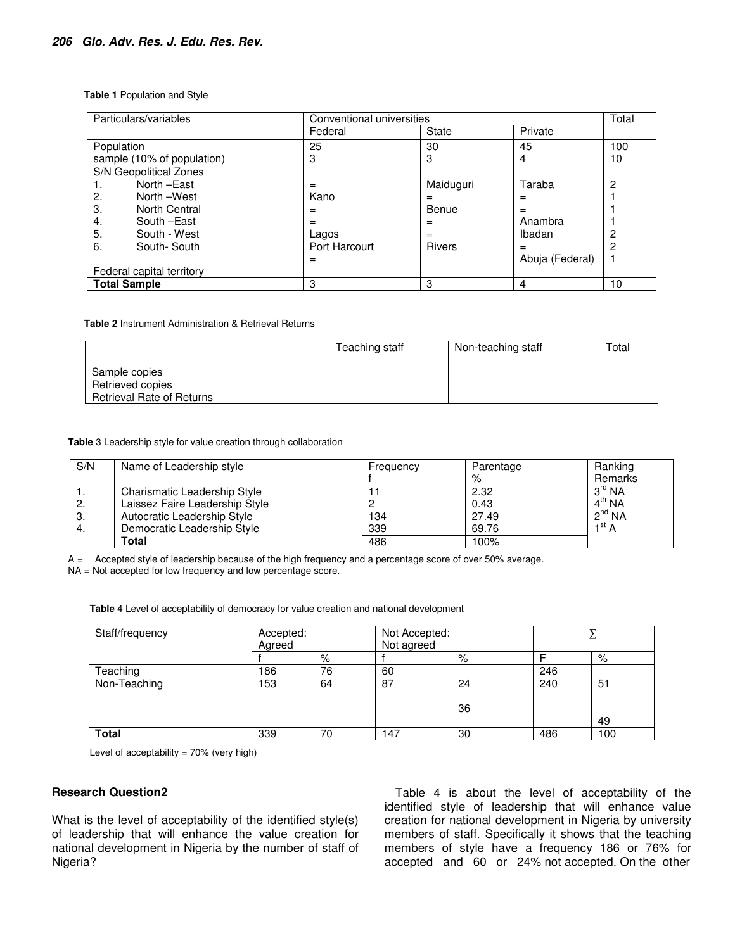#### **Table 1** Population and Style

| Particulars/variables      | Conventional universities |               |                 | Total        |
|----------------------------|---------------------------|---------------|-----------------|--------------|
|                            | Federal                   | State         | Private         |              |
| Population                 | 25                        | 30            | 45              | 100          |
| sample (10% of population) | З                         | 3             | 4               | 10           |
| S/N Geopolitical Zones     |                           |               |                 |              |
| North - East<br>1.         | $=$                       | Maiduguri     | Taraba          | $\mathbf{2}$ |
| North -West<br>2.          | Kano                      | $=$           | $=$             |              |
| 3.<br>North Central        |                           | Benue         | $=$             |              |
| South -East<br>4.          | $=$                       | $=$           | Anambra         |              |
| 5.<br>South - West         | Lagos                     | $=$           | Ibadan          | 2            |
| 6.<br>South-South          | Port Harcourt             | <b>Rivers</b> | $=$             | 2            |
|                            |                           |               | Abuja (Federal) |              |
| Federal capital territory  |                           |               |                 |              |
| <b>Total Sample</b>        | 3                         | 3             | 4               | 10           |

**Table 2** Instrument Administration & Retrieval Returns

|                                                                       | Teaching staff | Non-teaching staff | Total |
|-----------------------------------------------------------------------|----------------|--------------------|-------|
| Sample copies<br>Retrieved copies<br><b>Retrieval Rate of Returns</b> |                |                    |       |

**Table** 3 Leadership style for value creation through collaboration

| S/N | Name of Leadership style       | Frequency | Parentage | Ranking            |
|-----|--------------------------------|-----------|-----------|--------------------|
|     |                                |           | %         | Remarks            |
|     | Charismatic Leadership Style   |           | 2.32      | $3^{\text{rd}}$ NA |
| 2.  | Laissez Faire Leadership Style |           | 0.43      | 4 <sup>th</sup> NA |
| -3. | Autocratic Leadership Style    | 134       | 27.49     | $2^{nd}$ NA        |
| -4. | Democratic Leadership Style    | 339       | 69.76     | 1 <sup>st</sup> A  |
|     | Total                          | 486       | 100%      |                    |

A = Accepted style of leadership because of the high frequency and a percentage score of over 50% average. NA = Not accepted for low frequency and low percentage score.

**Table** 4 Level of acceptability of democracy for value creation and national development

| Staff/frequency          | Accepted:<br>Agreed |          | Not Accepted:<br>Not agreed |          |            |          |
|--------------------------|---------------------|----------|-----------------------------|----------|------------|----------|
|                          |                     | %        |                             | %        |            | %        |
| Teaching<br>Non-Teaching | 186<br>153          | 76<br>64 | 60<br>87                    | 24<br>36 | 246<br>240 | 51<br>49 |
| <b>Total</b>             | 339                 | 70       | 147                         | 30       | 486        | 100      |

Level of acceptability =  $70%$  (very high)

#### **Research Question2**

What is the level of acceptability of the identified style(s) of leadership that will enhance the value creation for national development in Nigeria by the number of staff of Nigeria?

Table 4 is about the level of acceptability of the identified style of leadership that will enhance value creation for national development in Nigeria by university members of staff. Specifically it shows that the teaching members of style have a frequency 186 or 76% for accepted and 60 or 24% not accepted. On the other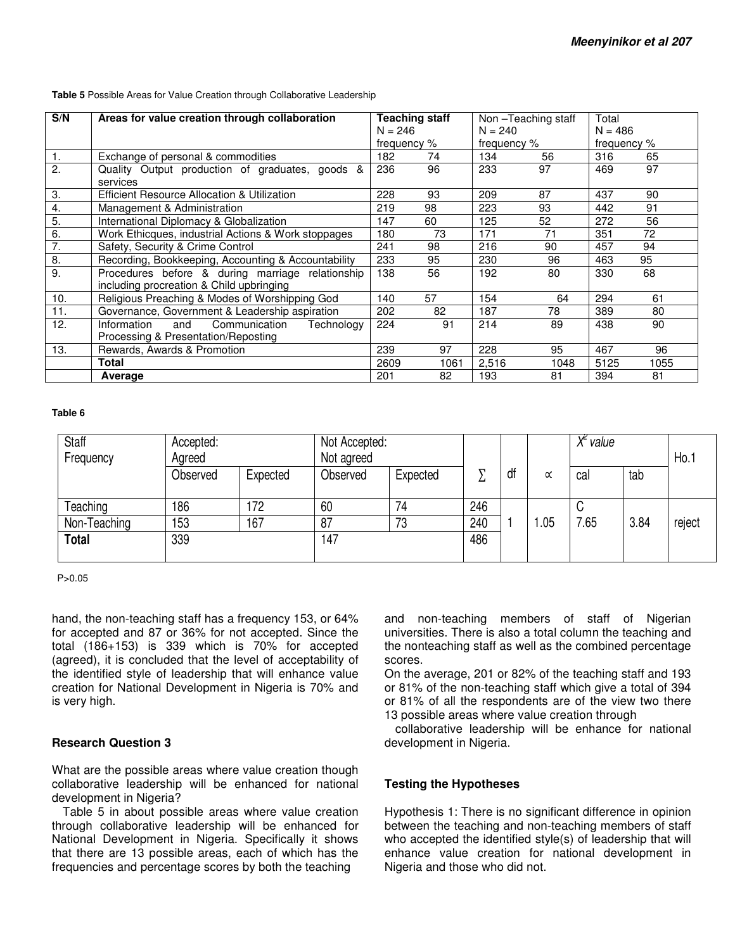| S/N              | Areas for value creation through collaboration                                               | Teaching staff<br>$N = 246$ |      | Non-Teaching staff<br>$N = 240$ |      | Total<br>$N = 486$ |      |
|------------------|----------------------------------------------------------------------------------------------|-----------------------------|------|---------------------------------|------|--------------------|------|
|                  |                                                                                              | frequency %                 |      | frequency %                     |      | frequency %        |      |
| $\mathbf{1}$ .   | Exchange of personal & commodities                                                           | 182                         | 74   | 134                             | 56   | 316                | 65   |
| 2.               | Quality Output production of graduates, goods &<br>services                                  | 236                         | 96   | 233                             | 97   | 469                | 97   |
| 3.               | Efficient Resource Allocation & Utilization                                                  | 228                         | 93   | 209                             | 87   | 437                | 90   |
| $\overline{4}$ . | Management & Administration                                                                  | 219                         | 98   | 223                             | 93   | 442                | 91   |
| 5.               | International Diplomacy & Globalization                                                      | 147                         | 60   | 125                             | 52   | 272                | 56   |
| 6.               | Work Ethicques, industrial Actions & Work stoppages                                          | 180                         | 73   | 171                             | 71   | 351                | 72   |
| 7.               | Safety, Security & Crime Control                                                             | 241                         | 98   | 216                             | 90   | 457                | 94   |
| 8.               | Recording, Bookkeeping, Accounting & Accountability                                          | 233                         | 95   | 230                             | 96   | 463                | 95   |
| 9.               | Procedures before & during marriage relationship<br>including procreation & Child upbringing | 138                         | 56   | 192                             | 80   | 330                | 68   |
| 10.              | Religious Preaching & Modes of Worshipping God                                               | 140                         | 57   | 154                             | 64   | 294                | 61   |
| 11.              | Governance, Government & Leadership aspiration                                               | 202                         | 82   | 187                             | 78   | 389                | 80   |
| 12.              | Information<br>Communication<br>and<br>Technology<br>Processing & Presentation/Reposting     | 224                         | 91   | 214                             | 89   | 438                | 90   |
| 13.              | Rewards, Awards & Promotion                                                                  | 239                         | 97   | 228                             | 95   | 467                | 96   |
|                  | Total                                                                                        | 2609                        | 1061 | 2,516                           | 1048 | 5125               | 1055 |
|                  | Average                                                                                      | 201                         | 82   | 193                             | 81   | 394                | 81   |

**Table 5** Possible Areas for Value Creation through Collaborative Leadership

#### **Table 6**

| Staff<br>Frequency | Accepted:<br>Agreed |          | Not agreed | Not Accepted: |     |    |           | $X^2$ value |      | Ho.    |
|--------------------|---------------------|----------|------------|---------------|-----|----|-----------|-------------|------|--------|
|                    | Observed            | Expected | Observed   | Expected      | ℸ   | df | $\propto$ | cal         | tab  |        |
| Teaching           | 186                 | 172      | 60         | 74            | 246 |    |           | ັ           |      |        |
| Non-Teaching       | 153                 | 167      | 87         | 73            | 240 |    | .05       | 7.65        | 3.84 | reject |
| <b>Total</b>       | 339                 |          | 147        |               | 486 |    |           |             |      |        |

P>0.05

hand, the non-teaching staff has a frequency 153, or 64% for accepted and 87 or 36% for not accepted. Since the total (186+153) is 339 which is 70% for accepted (agreed), it is concluded that the level of acceptability of the identified style of leadership that will enhance value creation for National Development in Nigeria is 70% and is very high.

#### **Research Question 3**

What are the possible areas where value creation though collaborative leadership will be enhanced for national development in Nigeria?

Table 5 in about possible areas where value creation through collaborative leadership will be enhanced for National Development in Nigeria. Specifically it shows that there are 13 possible areas, each of which has the frequencies and percentage scores by both the teaching

and non-teaching members of staff of Nigerian universities. There is also a total column the teaching and the nonteaching staff as well as the combined percentage scores.

On the average, 201 or 82% of the teaching staff and 193 or 81% of the non-teaching staff which give a total of 394 or 81% of all the respondents are of the view two there 13 possible areas where value creation through

collaborative leadership will be enhance for national development in Nigeria.

#### **Testing the Hypotheses**

Hypothesis 1: There is no significant difference in opinion between the teaching and non-teaching members of staff who accepted the identified style(s) of leadership that will enhance value creation for national development in Nigeria and those who did not.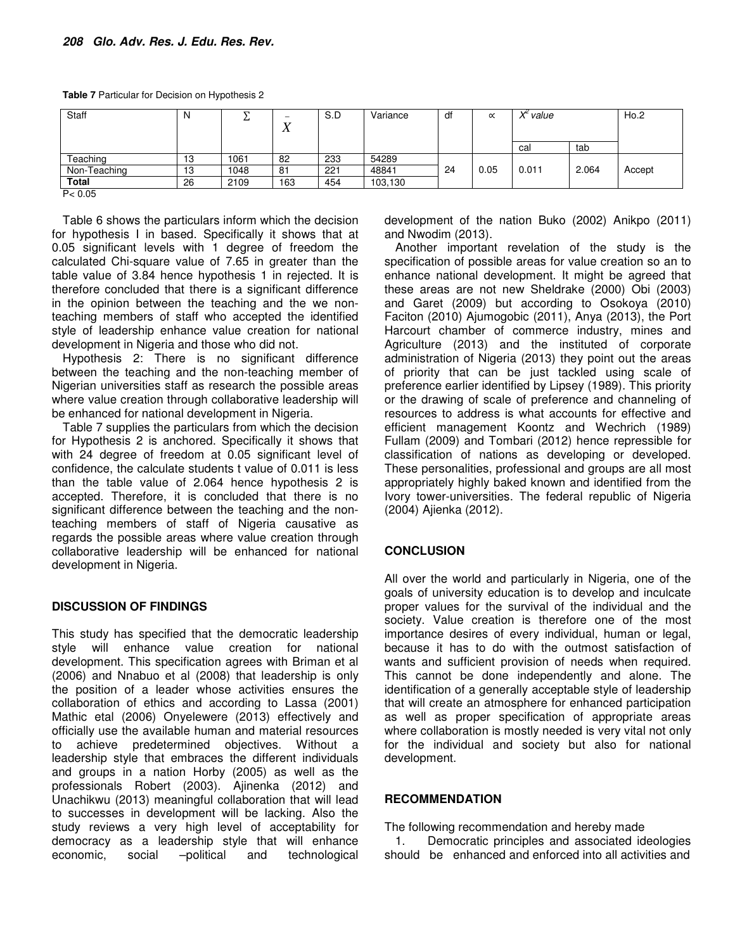**Table 7** Particular for Decision on Hypothesis 2

| Staff        | N  | ᠇<br>∸ | $\overline{\phantom{a}}$<br>$\Lambda$ | S.D | Variance | df | $\propto$ | $X^2$ value |       | Ho.2   |
|--------------|----|--------|---------------------------------------|-----|----------|----|-----------|-------------|-------|--------|
|              |    |        |                                       |     |          |    |           | cal         | tab   |        |
| Teaching     | 13 | 1061   | 82                                    | 233 | 54289    |    |           |             |       |        |
| Non-Teaching | 13 | 1048   | 81                                    | 221 | 48841    | 24 | 0.05      | 0.011       | 2.064 | Accept |
| Total        | 26 | 2109   | 163                                   | 454 | 103,130  |    |           |             |       |        |
| P < 0.05     |    |        |                                       |     |          |    |           |             |       |        |

Table 6 shows the particulars inform which the decision for hypothesis I in based. Specifically it shows that at 0.05 significant levels with 1 degree of freedom the calculated Chi-square value of 7.65 in greater than the table value of 3.84 hence hypothesis 1 in rejected. It is therefore concluded that there is a significant difference in the opinion between the teaching and the we nonteaching members of staff who accepted the identified style of leadership enhance value creation for national development in Nigeria and those who did not.

Hypothesis 2: There is no significant difference between the teaching and the non-teaching member of Nigerian universities staff as research the possible areas where value creation through collaborative leadership will be enhanced for national development in Nigeria.

Table 7 supplies the particulars from which the decision for Hypothesis 2 is anchored. Specifically it shows that with 24 degree of freedom at 0.05 significant level of confidence, the calculate students t value of 0.011 is less than the table value of 2.064 hence hypothesis 2 is accepted. Therefore, it is concluded that there is no significant difference between the teaching and the nonteaching members of staff of Nigeria causative as regards the possible areas where value creation through collaborative leadership will be enhanced for national development in Nigeria.

#### **DISCUSSION OF FINDINGS**

This study has specified that the democratic leadership style will enhance value creation for national development. This specification agrees with Briman et al (2006) and Nnabuo et al (2008) that leadership is only the position of a leader whose activities ensures the collaboration of ethics and according to Lassa (2001) Mathic etal (2006) Onyelewere (2013) effectively and officially use the available human and material resources to achieve predetermined objectives. Without a leadership style that embraces the different individuals and groups in a nation Horby (2005) as well as the professionals Robert (2003). Ajinenka (2012) and Unachikwu (2013) meaningful collaboration that will lead to successes in development will be lacking. Also the study reviews a very high level of acceptability for democracy as a leadership style that will enhance economic, social –political and technological development of the nation Buko (2002) Anikpo (2011) and Nwodim (2013).

Another important revelation of the study is the specification of possible areas for value creation so an to enhance national development. It might be agreed that these areas are not new Sheldrake (2000) Obi (2003) and Garet (2009) but according to Osokoya (2010) Faciton (2010) Ajumogobic (2011), Anya (2013), the Port Harcourt chamber of commerce industry, mines and Agriculture (2013) and the instituted of corporate administration of Nigeria (2013) they point out the areas of priority that can be just tackled using scale of preference earlier identified by Lipsey (1989). This priority or the drawing of scale of preference and channeling of resources to address is what accounts for effective and efficient management Koontz and Wechrich (1989) Fullam (2009) and Tombari (2012) hence repressible for classification of nations as developing or developed. These personalities, professional and groups are all most appropriately highly baked known and identified from the Ivory tower-universities. The federal republic of Nigeria (2004) Ajienka (2012).

# **CONCLUSION**

All over the world and particularly in Nigeria, one of the goals of university education is to develop and inculcate proper values for the survival of the individual and the society. Value creation is therefore one of the most importance desires of every individual, human or legal, because it has to do with the outmost satisfaction of wants and sufficient provision of needs when required. This cannot be done independently and alone. The identification of a generally acceptable style of leadership that will create an atmosphere for enhanced participation as well as proper specification of appropriate areas where collaboration is mostly needed is very vital not only for the individual and society but also for national development.

#### **RECOMMENDATION**

The following recommendation and hereby made

1. Democratic principles and associated ideologies should be enhanced and enforced into all activities and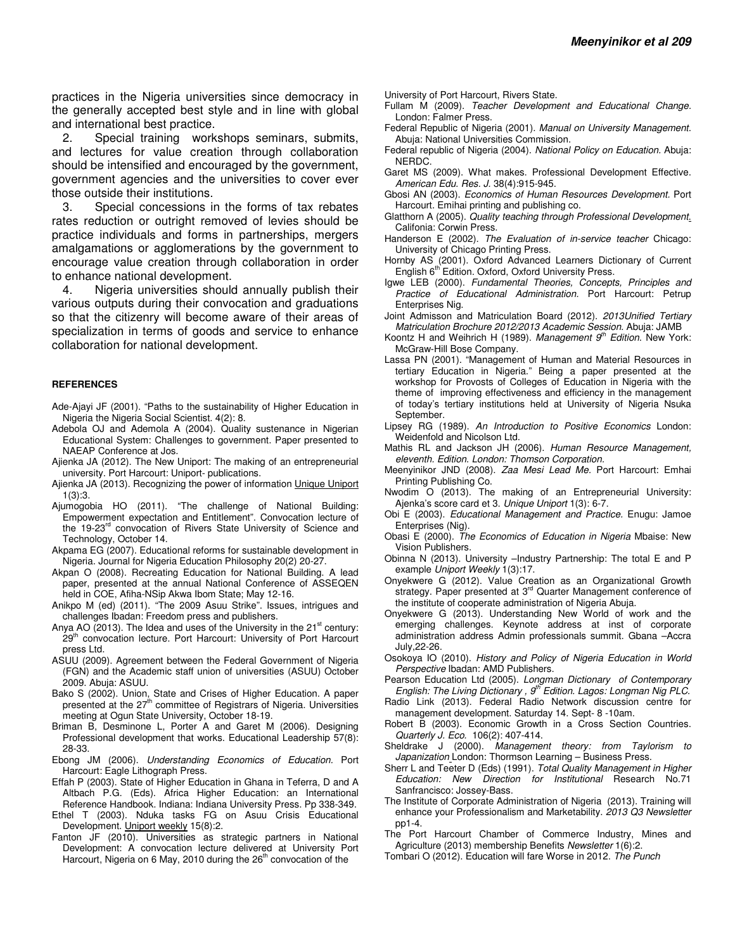practices in the Nigeria universities since democracy in the generally accepted best style and in line with global and international best practice.

2. Special training workshops seminars, submits, and lectures for value creation through collaboration should be intensified and encouraged by the government, government agencies and the universities to cover ever those outside their institutions.

3. Special concessions in the forms of tax rebates rates reduction or outright removed of levies should be practice individuals and forms in partnerships, mergers amalgamations or agglomerations by the government to encourage value creation through collaboration in order to enhance national development.

4. Nigeria universities should annually publish their various outputs during their convocation and graduations so that the citizenry will become aware of their areas of specialization in terms of goods and service to enhance collaboration for national development.

#### **REFERENCES**

- Ade-Ajayi JF (2001). "Paths to the sustainability of Higher Education in Nigeria the Nigeria Social Scientist. 4(2): 8.
- Adebola OJ and Ademola A (2004). Quality sustenance in Nigerian Educational System: Challenges to government. Paper presented to NAEAP Conference at Jos.
- Ajienka JA (2012). The New Uniport: The making of an entrepreneurial university. Port Harcourt: Uniport- publications.
- Ajienka JA (2013). Recognizing the power of information Unique Uniport 1(3):3.
- Ajumogobia HO (2011). "The challenge of National Building: Empowerment expectation and Entitlement". Convocation lecture of the 19-23<sup>rd</sup> convocation of Rivers State University of Science and Technology, October 14.
- Akpama EG (2007). Educational reforms for sustainable development in Nigeria. Journal for Nigeria Education Philosophy 20(2) 20-27.
- Akpan O (2008). Recreating Education for National Building. A lead paper, presented at the annual National Conference of ASSEQEN held in COE, Afiha-NSip Akwa Ibom State; May 12-16.
- Anikpo M (ed) (2011). "The 2009 Asuu Strike". Issues, intrigues and challenges Ibadan: Freedom press and publishers.
- Anya AO (2013). The Idea and uses of the University in the  $21<sup>st</sup>$  century: 29<sup>th</sup> convocation lecture. Port Harcourt: University of Port Harcourt press Ltd.
- ASUU (2009). Agreement between the Federal Government of Nigeria (FGN) and the Academic staff union of universities (ASUU) October 2009. Abuja: ASUU.
- Bako S (2002). Union, State and Crises of Higher Education. A paper presented at the 27<sup>th</sup> committee of Registrars of Nigeria. Universities meeting at Ogun State University, October 18-19.
- Briman B, Desminone L, Porter A and Garet M (2006). Designing Professional development that works. Educational Leadership 57(8): 28-33.
- Ebong JM (2006). *Understanding Economics of Education.* Port Harcourt: Eagle Lithograph Press.
- Effah P (2003). State of Higher Education in Ghana in Teferra, D and A Altbach P.G. (Eds). Africa Higher Education: an International Reference Handbook. Indiana: Indiana University Press. Pp 338-349.
- Ethel T (2003). Nduka tasks FG on Asuu Crisis Educational Development. Uniport weekly 15(8):2.
- Fanton JF (2010). Universities as strategic partners in National Development: A convocation lecture delivered at University Port Harcourt, Nigeria on 6 May, 2010 during the 26<sup>th</sup> convocation of the

University of Port Harcourt, Rivers State.

- Fullam M (2009). *Teacher Development and Educational Change.* London: Falmer Press.
- Federal Republic of Nigeria (2001). *Manual on University Management*. Abuja: National Universities Commission.
- Federal republic of Nigeria (2004). *National Policy on Education.* Abuja: NERDC.
- Garet MS (2009). What makes. Professional Development Effective. *American Edu. Res. J.* 38(4):915-945.
- Gbosi AN (2003). *Economics of Human Resources Development.* Port Harcourt. Emihai printing and publishing co.
- Glatthorn A (2005). *Quality teaching through Professional Development*. Califonia: Corwin Press.
- Handerson E (2002). *The Evaluation of in-service teacher* Chicago: University of Chicago Printing Press.
- Hornby AS (2001). Oxford Advanced Learners Dictionary of Current<br>English 6<sup>th</sup> Edition. Oxford, Oxford University Press.
- Igwe LEB (2000). *Fundamental Theories, Concepts, Principles and Practice of Educational Administration.* Port Harcourt: Petrup Enterprises Nig.
- Joint Admisson and Matriculation Board (2012). *2013Unified Tertiary Matriculation Brochure 2012/2013 Academic Session.* Abuja: JAMB
- Koontz H and Weihrich H (1989). *Management 9th Edition*. New York: McGraw-Hill Bose Company.
- Lassa PN (2001). "Management of Human and Material Resources in tertiary Education in Nigeria." Being a paper presented at the workshop for Provosts of Colleges of Education in Nigeria with the theme of improving effectiveness and efficiency in the management of today's tertiary institutions held at University of Nigeria Nsuka September.
- Lipsey RG (1989). *An Introduction to Positive Economics* London: Weidenfold and Nicolson Ltd.
- Mathis RL and Jackson JH (2006). *Human Resource Management, eleventh. Edition. London: Thomson Corporation.*
- Meenyinikor JND (2008). *Zaa Mesi Lead Me.* Port Harcourt: Emhai Printing Publishing Co.
- Nwodim O (2013). The making of an Entrepreneurial University: Ajenka's score card et 3. *Unique Uniport* 1(3): 6-7.
- Obi E (2003). *Educational Management and Practice.* Enugu: Jamoe Enterprises (Nig).
- Obasi E (2000). *The Economics of Education in Nigeria* Mbaise: New Vision Publishers.
- Obinna N (2013). University –Industry Partnership: The total E and P example *Uniport Weekly* 1(3):17.
- Onyekwere G (2012). Value Creation as an Organizational Growth strategy. Paper presented at 3<sup>rd</sup> Quarter Management conference of the institute of cooperate administration of Nigeria Abuja.
- Onyekwere G (2013). Understanding New World of work and the emerging challenges. Keynote address at inst of corporate administration address Admin professionals summit. Gbana –Accra July,22-26.
- Osokoya IO (2010). *History and Policy of Nigeria Education in World Perspective* Ibadan: AMD Publishers.
- Pearson Education Ltd (2005). *Longman Dictionary of Contemporary English: The Living Dictionary , 9th Edition. Lagos: Longman Nig PLC.*
- Radio Link (2013). Federal Radio Network discussion centre for management development. Saturday 14. Sept- 8 -10am.
- Robert B (2003). Economic Growth in a Cross Section Countries. *Quarterly J. Eco.* 106(2): 407-414.
- Sheldrake J (2000). *Management theory: from Taylorism to Japanization* London: Thormson Learning – Business Press.
- Sherr L and Teeter D (Eds) (1991). *Total Quality Management in Higher Education: New Direction for Institutional* Research No.71 Sanfrancisco: Jossey-Bass.
- The Institute of Corporate Administration of Nigeria (2013). Training will enhance your Professionalism and Marketability. *2013 Q3 Newsletter*  pp1-4.
- The Port Harcourt Chamber of Commerce Industry, Mines and Agriculture (2013) membership Benefits *Newsletter* 1(6):2.
- Tombari O (2012). Education will fare Worse in 2012. *The Punch*